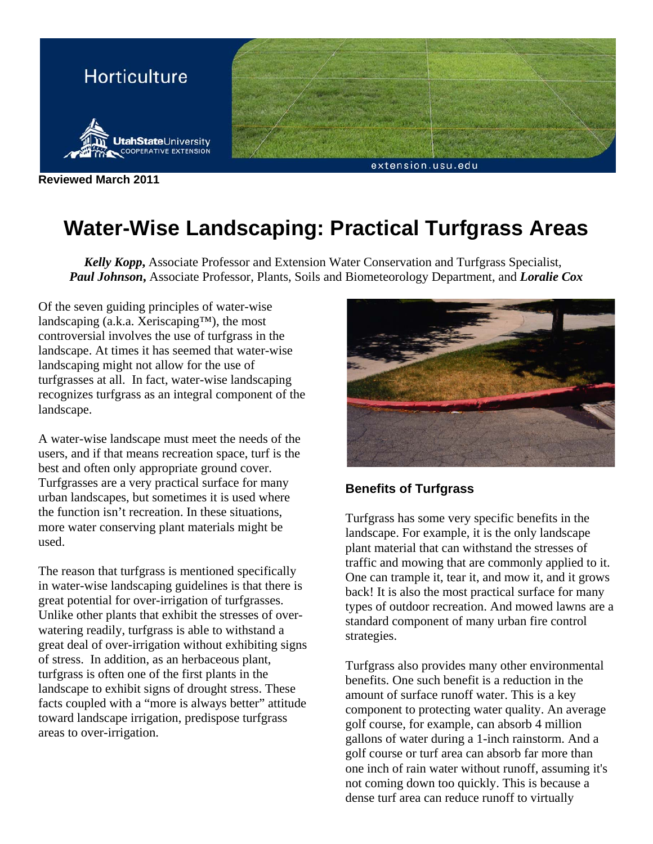

**Reviewed March 2011** 

## **Water-Wise Landscaping: Practical Turfgrass Areas**

*Kelly Kopp***,** Associate Professor and Extension Water Conservation and Turfgrass Specialist, *Paul Johnson***,** Associate Professor, Plants, Soils and Biometeorology Department, and *Loralie Cox*

Of the seven guiding principles of water-wise landscaping (a.k.a. Xeriscaping™), the most controversial involves the use of turfgrass in the landscape. At times it has seemed that water-wise landscaping might not allow for the use of turfgrasses at all. In fact, water-wise landscaping recognizes turfgrass as an integral component of the landscape.

A water-wise landscape must meet the needs of the users, and if that means recreation space, turf is the best and often only appropriate ground cover. Turfgrasses are a very practical surface for many urban landscapes, but sometimes it is used where the function isn't recreation. In these situations, more water conserving plant materials might be used.

The reason that turfgrass is mentioned specifically in water-wise landscaping guidelines is that there is great potential for over-irrigation of turfgrasses. Unlike other plants that exhibit the stresses of overwatering readily, turfgrass is able to withstand a great deal of over-irrigation without exhibiting signs of stress. In addition, as an herbaceous plant, turfgrass is often one of the first plants in the landscape to exhibit signs of drought stress. These facts coupled with a "more is always better" attitude toward landscape irrigation, predispose turfgrass areas to over-irrigation.



## **Benefits of Turfgrass**

Turfgrass has some very specific benefits in the landscape. For example, it is the only landscape plant material that can withstand the stresses of traffic and mowing that are commonly applied to it. One can trample it, tear it, and mow it, and it grows back! It is also the most practical surface for many types of outdoor recreation. And mowed lawns are a standard component of many urban fire control strategies.

Turfgrass also provides many other environmental benefits. One such benefit is a reduction in the amount of surface runoff water. This is a key component to protecting water quality. An average golf course, for example, can absorb 4 million gallons of water during a 1-inch rainstorm. And a golf course or turf area can absorb far more than one inch of rain water without runoff, assuming it's not coming down too quickly. This is because a dense turf area can reduce runoff to virtually